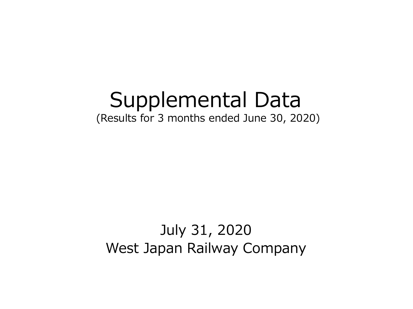# Supplemental Data (Results for 3 months ended June 30, 2020)

## July 31, 2020 West Japan Railway Company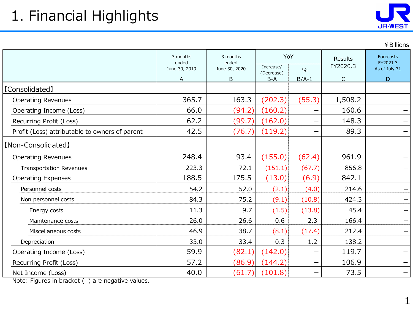

|                                                |                                    |                                    |                     |               |                     | ¥ Billions                             |
|------------------------------------------------|------------------------------------|------------------------------------|---------------------|---------------|---------------------|----------------------------------------|
|                                                | 3 months<br>ended<br>June 30, 2019 | 3 months<br>ended<br>June 30, 2020 | YoY<br>Increase/    | $\frac{0}{0}$ | Results<br>FY2020.3 | Forecasts<br>FY2021.3<br>As of July 31 |
|                                                | <u>A</u>                           | B                                  | (Decrease)<br>$B-A$ | $B/A-1$       | C                   | D                                      |
| [Consolidated]                                 |                                    |                                    |                     |               |                     |                                        |
| <b>Operating Revenues</b>                      | 365.7                              | 163.3                              | (202.3)             | (55.3)        | 1,508.2             |                                        |
| Operating Income (Loss)                        | 66.0                               | (94.2)                             | (160.2)             |               | 160.6               |                                        |
| Recurring Profit (Loss)                        | 62.2                               | (99.7)                             | (162.0)             |               | 148.3               |                                        |
| Profit (Loss) attributable to owners of parent | 42.5                               | (76.7)                             | (119.2)             |               | 89.3                |                                        |
| [Non-Consolidated]                             |                                    |                                    |                     |               |                     |                                        |
| <b>Operating Revenues</b>                      | 248.4                              | 93.4                               | (155.0)             | (62.4)        | 961.9               |                                        |
| <b>Transportation Revenues</b>                 | 223.3                              | 72.1                               | (151.1)             | (67.7)        | 856.8               |                                        |
| <b>Operating Expenses</b>                      | 188.5                              | 175.5                              | (13.0)              | (6.9)         | 842.1               |                                        |
| Personnel costs                                | 54.2                               | 52.0                               | (2.1)               | (4.0)         | 214.6               |                                        |
| Non personnel costs                            | 84.3                               | 75.2                               | (9.1)               | (10.8)        | 424.3               |                                        |
| Energy costs                                   | 11.3                               | 9.7                                | (1.5)               | (13.8)        | 45.4                |                                        |
| Maintenance costs                              | 26.0                               | 26.6                               | 0.6                 | 2.3           | 166.4               |                                        |
| Miscellaneous costs                            | 46.9                               | 38.7                               | (8.1)               | (17.4)        | 212.4               |                                        |
| Depreciation                                   | 33.0                               | 33.4                               | 0.3                 | 1.2           | 138.2               |                                        |
| Operating Income (Loss)                        | 59.9                               | (82.1)                             | (142.0)             |               | 119.7               |                                        |
| Recurring Profit (Loss)                        | 57.2                               | (86.9)                             | (144.2)             |               | 106.9               |                                        |
| Net Income (Loss)                              | 40.0                               | (61.7)                             | (101.8)             |               | 73.5                |                                        |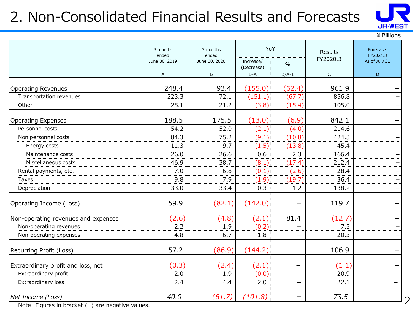### 2. Non-Consolidated Financial Results and Forecasts



2

¥Billions

|                                     | 3 months<br>ended | YoY<br>3 months<br>ended<br>June 30, 2019<br>June 30, 2020 |                         |               | Results<br>FY2020.3 | Forecasts<br>FY2021.3 |
|-------------------------------------|-------------------|------------------------------------------------------------|-------------------------|---------------|---------------------|-----------------------|
|                                     |                   |                                                            | Increase/<br>(Decrease) | $\frac{0}{0}$ |                     | As of July 31         |
|                                     | A                 | B                                                          | $B-A$                   | $B/A-1$       | $\mathsf C$         | $\mathsf D$           |
| <b>Operating Revenues</b>           | 248.4             | 93.4                                                       | (155.0)                 | (62.4)        | 961.9               |                       |
| Transportation revenues             | 223.3             | 72.1                                                       | (151.1)                 | (67.7)        | 856.8               |                       |
| Other                               | 25.1              | 21.2                                                       | (3.8)                   | (15.4)        | 105.0               |                       |
| Operating Expenses                  | 188.5             | 175.5                                                      | (13.0)                  | (6.9)         | 842.1               |                       |
| Personnel costs                     | 54.2              | 52.0                                                       | (2.1)                   | (4.0)         | 214.6               |                       |
| Non personnel costs                 | 84.3              | 75.2                                                       | (9.1)                   | (10.8)        | 424.3               |                       |
| Energy costs                        | 11.3              | 9.7                                                        | (1.5)                   | (13.8)        | 45.4                |                       |
| Maintenance costs                   | 26.0              | 26.6                                                       | 0.6                     | 2.3           | 166.4               | -                     |
| Miscellaneous costs                 | 46.9              | 38.7                                                       | (8.1)                   | (17.4)        | 212.4               | —                     |
| Rental payments, etc.               | 7.0               | 6.8                                                        | (0.1)                   | (2.6)         | 28.4                |                       |
| Taxes                               | 9.8               | 7.9                                                        | (1.9)                   | (19.7)        | 36.4                |                       |
| Depreciation                        | 33.0              | 33.4                                                       | 0.3                     | 1.2           | 138.2               |                       |
| Operating Income (Loss)             | 59.9              | (82.1)                                                     | (142.0)                 |               | 119.7               |                       |
| Non-operating revenues and expenses | (2.6)             | (4.8)                                                      | (2.1)                   | 81.4          | (12.7)              |                       |
| Non-operating revenues              | 2.2               | 1.9                                                        | (0.2)                   |               | 7.5                 |                       |
| Non-operating expenses              | 4.8               | 6.7                                                        | 1.8                     |               | 20.3                |                       |
| Recurring Profit (Loss)             | 57.2              | (86.9)                                                     | (144.2)                 |               | 106.9               | -                     |
| Extraordinary profit and loss, net  | (0.3)             | (2.4)                                                      | (2.1)                   |               | (1.1)               |                       |
| Extraordinary profit                | 2.0               | 1.9                                                        | (0.0)                   | —             | 20.9                |                       |
| Extraordinary loss                  | 2.4               | 4.4                                                        | 2.0                     |               | 22.1                | $\qquad \qquad -$     |
| Net Income (Loss)                   | 40.0              | (61.7)                                                     | (101.8)                 |               | 73.5                |                       |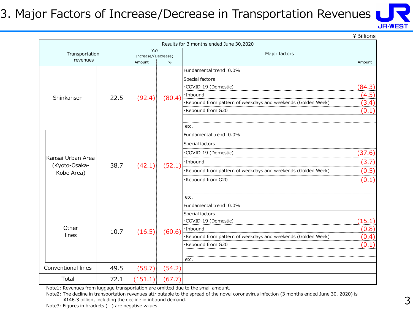#### 3. Major Factors of Increase/Decrease in Transportation Revenues



¥Billions

|                                    |                                                |                 |        | Results for 3 months ended June 30,2020                      |        |
|------------------------------------|------------------------------------------------|-----------------|--------|--------------------------------------------------------------|--------|
| Transportation                     |                                                | YoY             |        | Major factors                                                |        |
| revenues                           | Increase/(Decrease)<br>$\frac{0}{0}$<br>Amount |                 |        |                                                              | Amount |
|                                    |                                                |                 |        | Fundamental trend 0.0%                                       |        |
|                                    |                                                | Special factors |        |                                                              |        |
|                                    |                                                |                 |        | ·COVID-19 (Domestic)                                         | (84.3) |
| Shinkansen                         | 22.5                                           | (92.4)          | (80.4) | ·Inbound                                                     | (4.5)  |
|                                    |                                                |                 |        | ·Rebound from pattern of weekdays and weekends (Golden Week) | (3.4)  |
|                                    |                                                |                 |        | ·Rebound from G20                                            | (0.1)  |
|                                    |                                                |                 |        |                                                              |        |
|                                    |                                                |                 |        | etc.                                                         |        |
|                                    |                                                |                 |        | Fundamental trend 0.0%                                       |        |
|                                    |                                                |                 |        | Special factors                                              |        |
|                                    |                                                | 38.7<br>(42.1)  | (52.1) | ·COVID-19 (Domestic)                                         | (37.6) |
| Kansai Urban Area<br>(Kyoto-Osaka- |                                                |                 |        | ·Inbound                                                     | (3.7)  |
| Kobe Area)                         |                                                |                 |        | ·Rebound from pattern of weekdays and weekends (Golden Week) | (0.5)  |
|                                    |                                                |                 |        | ·Rebound from G20                                            | (0.1)  |
|                                    |                                                |                 |        |                                                              |        |
|                                    |                                                |                 |        | etc.                                                         |        |
|                                    |                                                |                 |        | Fundamental trend 0.0%                                       |        |
|                                    |                                                |                 |        | Special factors                                              |        |
|                                    |                                                |                 |        | ·COVID-19 (Domestic)                                         | (15.1) |
| Other                              | 10.7                                           | (16.5)          | (60.6) | ·Inbound                                                     | (0.8)  |
| lines                              |                                                |                 |        | ·Rebound from pattern of weekdays and weekends (Golden Week) | (0.4)  |
|                                    |                                                |                 |        | ·Rebound from G20                                            | (0.1)  |
|                                    |                                                |                 |        |                                                              |        |
|                                    |                                                |                 |        | etc.                                                         |        |
| Conventional lines                 | 49.5                                           | (58.7)          | (54.2) |                                                              |        |
| Total                              | 72.1                                           | (151.1)         | (67.7) |                                                              |        |

Note1: Revenues from luggage transportation are omitted due to the small amount.

Note2: The decline in transportation revenues attributable to the spread of the novel coronavirus infection (3 months ended June 30, 2020) is ¥146.3 billion, including the decline in inbound demand.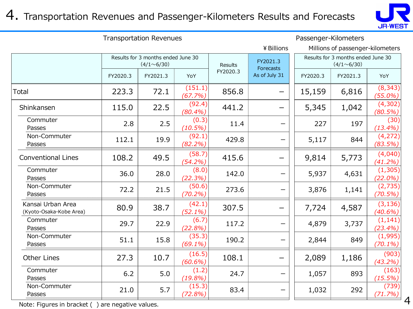#### 4. Transportation Revenues and Passenger-Kilometers Results and Forecasts



| <b>Transportation Revenues</b>               |          |                                                         |                      |                |                       | Passenger-Kilometers |                                                         |                        |  |
|----------------------------------------------|----------|---------------------------------------------------------|----------------------|----------------|-----------------------|----------------------|---------------------------------------------------------|------------------------|--|
|                                              |          |                                                         |                      |                | ¥ Billions            |                      | Millions of passenger-kilometers                        |                        |  |
|                                              |          | Results for 3 months ended June 30<br>$(4/1 \sim 6/30)$ |                      | <b>Results</b> | FY2021.3<br>Forecasts |                      | Results for 3 months ended June 30<br>$(4/1 \sim 6/30)$ |                        |  |
|                                              | FY2020.3 | FY2021.3                                                | YoY                  | FY2020.3       | As of July 31         | FY2020.3             | FY2021.3                                                | YoY                    |  |
| Total                                        | 223.3    | 72.1                                                    | (151.1)<br>(67.7%)   | 856.8          |                       | 15,159               | 6,816                                                   | (8, 343)<br>$(55.0\%)$ |  |
| Shinkansen                                   | 115.0    | 22.5                                                    | (92.4)<br>(80.4%)    | 441.2          |                       | 5,345                | 1,042                                                   | (4,302)<br>(80.5%)     |  |
| Commuter<br>Passes                           | 2.8      | 2.5                                                     | (0.3)<br>$(10.5\%)$  | 11.4           | —                     | 227                  | 197                                                     | (30)<br>$(13.4\%)$     |  |
| Non-Commuter<br>Passes                       | 112.1    | 19.9                                                    | (92.1)<br>$(82.2\%)$ | 429.8          | -                     | 5,117                | 844                                                     | (4,272)<br>(83.5%)     |  |
| <b>Conventional Lines</b>                    | 108.2    | 49.5                                                    | (58.7)<br>$(54.2\%)$ | 415.6          |                       | 9,814                | 5,773                                                   | (4,040)<br>$(41.2\%)$  |  |
| Commuter<br>Passes                           | 36.0     | 28.0                                                    | (8.0)<br>(22.3%)     | 142.0          |                       | 5,937                | 4,631                                                   | (1, 305)<br>$(22.0\%)$ |  |
| Non-Commuter<br>Passes                       | 72.2     | 21.5                                                    | (50.6)<br>$(70.2\%)$ | 273.6          |                       | 3,876                | 1,141                                                   | (2,735)<br>$(70.5\%)$  |  |
| Kansai Urban Area<br>(Kyoto-Osaka-Kobe Area) | 80.9     | 38.7                                                    | (42.1)<br>$(52.1\%)$ | 307.5          |                       | 7,724                | 4,587                                                   | (3, 136)<br>$(40.6\%)$ |  |
| Commuter<br>Passes                           | 29.7     | 22.9                                                    | (6.7)<br>(22.8%)     | 117.2          | —                     | 4,879                | 3,737                                                   | (1, 141)<br>$(23.4\%)$ |  |
| Non-Commuter<br>Passes                       | 51.1     | 15.8                                                    | (35.3)<br>$(69.1\%)$ | 190.2          |                       | 2,844                | 849                                                     | (1,995)<br>$(70.1\%)$  |  |
| <b>Other Lines</b>                           | 27.3     | 10.7                                                    | (16.5)<br>$(60.6\%)$ | 108.1          |                       | 2,089                | 1,186                                                   | (903)<br>$(43.2\%)$    |  |
| Commuter<br>Passes                           | 6.2      | 5.0                                                     | (1.2)<br>(19.8%)     | 24.7           | —                     | 1,057                | 893                                                     | (163)<br>$(15.5\%)$    |  |
| Non-Commuter<br>Passes                       | 21.0     | 5.7                                                     | (15.3)<br>(72.8%)    | 83.4           |                       | 1,032                | 292                                                     | (739)<br>(71.7%)       |  |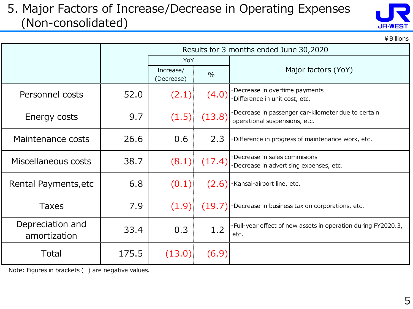#### 5. Major Factors of Increase/Decrease in Operating Expenses (Non-consolidated)



¥Billions

|                                  |       | Results for 3 months ended June 30,2020 |               |                                                                                     |  |  |  |
|----------------------------------|-------|-----------------------------------------|---------------|-------------------------------------------------------------------------------------|--|--|--|
|                                  |       | YoY                                     |               |                                                                                     |  |  |  |
|                                  |       | Increase/<br>(Decrease)                 | $\frac{0}{0}$ | Major factors (YoY)                                                                 |  |  |  |
| Personnel costs                  | 52.0  | (2.1)                                   | (4.0)         | Decrease in overtime payments<br>·Difference in unit cost, etc.                     |  |  |  |
| Energy costs                     | 9.7   | (1.5)                                   | (13.8)        | Decrease in passenger car-kilometer due to certain<br>operational suspensions, etc. |  |  |  |
| Maintenance costs                | 26.6  | 0.6                                     | 2.3           | ·Difference in progress of maintenance work, etc.                                   |  |  |  |
| Miscellaneous costs              | 38.7  | (8.1)                                   | (17.4)        | Decrease in sales commisions<br>Decrease in advertising expenses, etc.              |  |  |  |
| Rental Payments, etc             | 6.8   | (0.1)                                   | (2.6)         | Kansai-airport line, etc.                                                           |  |  |  |
| <b>Taxes</b>                     | 7.9   | (1.9)                                   |               | $(19.7)$ . Decrease in business tax on corporations, etc.                           |  |  |  |
| Depreciation and<br>amortization | 33.4  | 0.3                                     | 1.2           | ·Full-year effect of new assets in operation during FY2020.3,<br>etc.               |  |  |  |
| Total                            | 175.5 | (13.0)                                  | (6.9)         |                                                                                     |  |  |  |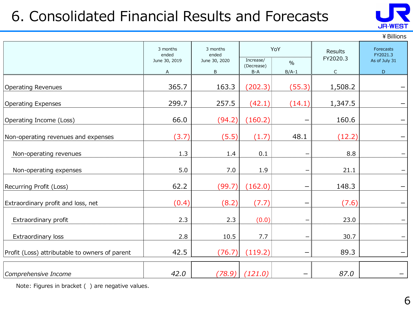## 6. Consolidated Financial Results and Forecasts



¥Billions

|                                                | 3 months<br>ended<br>June 30, 2019<br>A | 3 months<br>ended<br>June 30, 2020<br>B | Increase/<br>(Decrease)<br>$B-A$ | YoY<br>$\frac{0}{0}$<br>$B/A-1$ | <b>Results</b><br>FY2020.3<br>$\mathsf{C}$ | Forecasts<br>FY2021.3<br>As of July 31<br>$\mathsf{D}$ |
|------------------------------------------------|-----------------------------------------|-----------------------------------------|----------------------------------|---------------------------------|--------------------------------------------|--------------------------------------------------------|
| <b>Operating Revenues</b>                      | 365.7                                   | 163.3                                   | (202.3)                          | (55.3)                          | 1,508.2                                    |                                                        |
| <b>Operating Expenses</b>                      | 299.7                                   | 257.5                                   | (42.1)                           | (14.1)                          | 1,347.5                                    |                                                        |
| Operating Income (Loss)                        | 66.0                                    | (94.2)                                  | (160.2)                          |                                 | 160.6                                      |                                                        |
| Non-operating revenues and expenses            | (3.7)                                   | (5.5)                                   | (1.7)                            | 48.1                            | (12.2)                                     |                                                        |
| Non-operating revenues                         | 1.3                                     | 1.4                                     | 0.1                              |                                 | 8.8                                        |                                                        |
| Non-operating expenses                         | 5.0                                     | 7.0                                     | 1.9                              |                                 | 21.1                                       |                                                        |
| Recurring Profit (Loss)                        | 62.2                                    | (99.7)                                  | (162.0)                          |                                 | 148.3                                      |                                                        |
| Extraordinary profit and loss, net             | (0.4)                                   | (8.2)                                   | (7.7)                            |                                 | (7.6)                                      |                                                        |
| Extraordinary profit                           | 2.3                                     | 2.3                                     | (0.0)                            |                                 | 23.0                                       |                                                        |
| Extraordinary loss                             | 2.8                                     | 10.5                                    | 7.7                              |                                 | 30.7                                       |                                                        |
| Profit (Loss) attributable to owners of parent | 42.5                                    | (76.7)                                  | (119.2)                          |                                 | 89.3                                       |                                                        |
| Comprehensive Income                           | 42.0                                    | (78.9)                                  | (121.0)                          |                                 | 87.0                                       |                                                        |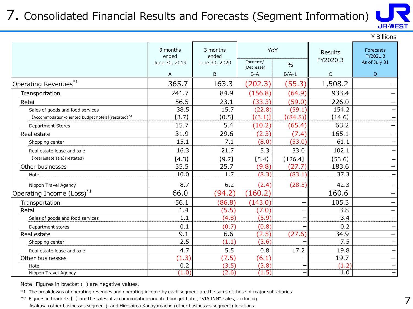### 7. Consolidated Financial Results and Forecasts (Segment Information)



|                                                                 |                   |                   |                         |               |                | ¥ Billions               |
|-----------------------------------------------------------------|-------------------|-------------------|-------------------------|---------------|----------------|--------------------------|
|                                                                 | 3 months<br>ended | 3 months<br>ended |                         | YoY           | <b>Results</b> | Forecasts<br>FY2021.3    |
|                                                                 | June 30, 2019     | June 30, 2020     | Increase/<br>(Decrease) | $\frac{0}{0}$ | FY2020.3       | As of July 31            |
|                                                                 | A                 | B                 | $B-A$                   | $B/A-1$       | $\mathsf C$    | D                        |
| Operating Revenues*1                                            | 365.7             | 163.3             | (202.3)                 | (55.3)        | 1,508.2        |                          |
| Transportation                                                  | 241.7             | 84.9              | (156.8)                 | (64.9)        | 933.4          |                          |
| Retail                                                          | 56.5              | 23.1              | (33.3)                  | (59.0)        | 226.0          |                          |
| Sales of goods and food services                                | 38.5              | 15.7              | (22.8)                  | (59.1)        | 154.2          |                          |
| [Accommodation-oriented budget hotels] (restated) <sup>*2</sup> | [3.7]             | [0.5]             | [(3.1)]                 | [(84.8)]      | [14.6]         |                          |
| <b>Department Stores</b>                                        | 15.7              | 5.4               | (10.2)                  | (65.4)        | 63.2           | $\overline{\phantom{0}}$ |
| Real estate                                                     | 31.9              | 29.6              | (2.3)                   | (7.4)         | 165.1          |                          |
| Shopping center                                                 | 15.1              | 7.1               | (8.0)                   | (53.0)        | 61.1           |                          |
| Real estate lease and sale                                      | 16.3              | 21.7              | 5.3                     | 33.0          | 102.1          |                          |
| [Real estate sale] (restated)                                   | [4.3]             | [9.7]             | [5.4]                   | [126.4]       | [53.6]         |                          |
| Other businesses                                                | 35.5              | 25.7              | (9.8)                   | (27.7)        | 183.6          |                          |
| Hotel                                                           | 10.0              | 1.7               | (8.3)                   | (83.1)        | 37.3           |                          |
| Nippon Travel Agency                                            | 8.7               | 6.2               | (2.4)                   | (28.5)        | 42.3           |                          |
| Operating Income (Loss) <sup>*1</sup>                           | 66.0              | (94.2)            | (160.2)                 |               | 160.6          | -                        |
| Transportation                                                  | 56.1              | (86.8)            | (143.0)                 |               | 105.3          |                          |
| Retail                                                          | 1.4               | (5.5)             | (7.0)                   |               | 3.8            | -                        |
| Sales of goods and food services                                | 1.1               | (4.8)             | (5.9)                   |               | 3.4            | $\overline{\phantom{0}}$ |
| Department stores                                               | 0.1               | (0.7)             | (0.8)                   |               | 0.2            |                          |
| Real estate                                                     | 9.1               | 6.6               | (2.5)                   | (27.6)        | 34.9           | —                        |
| Shopping center                                                 | 2.5               | (1.1)             | (3.6)                   |               | 7.5            |                          |
| Real estate lease and sale                                      | 4.7               | 5.5               | 0.8                     | 17.2          | 19.8           |                          |
| Other businesses                                                | (1.3)             | (7.5)             | (6.1)                   |               | 19.7           | -                        |
| Hotel                                                           | 0.2               | (3.5)             | (3.8)                   |               | (1.2)          |                          |
| Nippon Travel Agency                                            | (1.0)             | (2.6)             | (1.5)                   |               | 1.0            |                          |

Note: Figures in bracket ( ) are negative values.

\*1 The breakdowns of operating revenues and operating income by each segment are the sums of those of major subsidiaries.

\*2 Figures in brackets 【 】 are the sales of accommodation-oriented budget hotel, "VIA INN", sales, excluding Asakusa (other businesses segment), and Hiroshima Kanayamacho (other businesses segment) locations.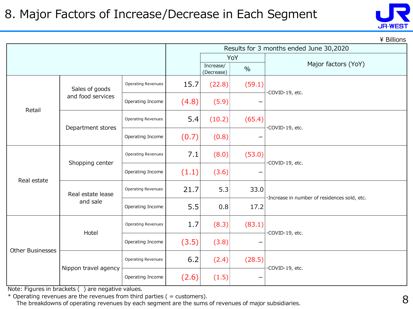

|                  | ¥ Billions           |                           |       |                         |        |                                              |  |  |  |  |
|------------------|----------------------|---------------------------|-------|-------------------------|--------|----------------------------------------------|--|--|--|--|
|                  |                      |                           |       |                         |        | Results for 3 months ended June 30,2020      |  |  |  |  |
|                  |                      |                           |       |                         | YoY    |                                              |  |  |  |  |
|                  |                      |                           |       | Increase/<br>(Decrease) | $\%$   | Major factors (YoY)                          |  |  |  |  |
|                  | Sales of goods       | Operating Revenues        | 15.7  | (22.8)                  | (59.1) | ·COVID-19, etc.                              |  |  |  |  |
| Retail           | and food services    | Operating Income          | (4.8) | (5.9)                   |        |                                              |  |  |  |  |
|                  | Department stores    | Operating Revenues        | 5.4   | (10.2)                  | (65.4) | ·COVID-19, etc.                              |  |  |  |  |
|                  |                      | Operating Income          | (0.7) | (0.8)                   | —      |                                              |  |  |  |  |
|                  | Shopping center      | <b>Operating Revenues</b> | 7.1   | (8.0)                   | (53.0) | ·COVID-19, etc.                              |  |  |  |  |
| Real estate      |                      | Operating Income          | (1.1) | (3.6)                   |        |                                              |  |  |  |  |
|                  | Real estate lease    | <b>Operating Revenues</b> | 21.7  | 5.3                     | 33.0   | ·Increase in number of residences sold, etc. |  |  |  |  |
|                  | and sale             | Operating Income          | 5.5   | 0.8                     | 17.2   |                                              |  |  |  |  |
|                  | Hotel                | Operating Revenues        | 1.7   | (8.3)                   | (83.1) | ·COVID-19, etc.                              |  |  |  |  |
|                  |                      | Operating Income          | (3.5) | (3.8)                   |        |                                              |  |  |  |  |
| Other Businesses | Nippon travel agency | Operating Revenues        | 6.2   | (2.4)                   | (28.5) | ·COVID-19, etc.                              |  |  |  |  |
|                  |                      | Operating Income          | (2.6) | (1.5)                   |        |                                              |  |  |  |  |

Note: Figures in brackets ( ) are negative values.

 $*$  Operating revenues are the revenues from third parties ( = customers).

The breakdowns of operating revenues by each segment are the sums of revenues of major subsidiaries.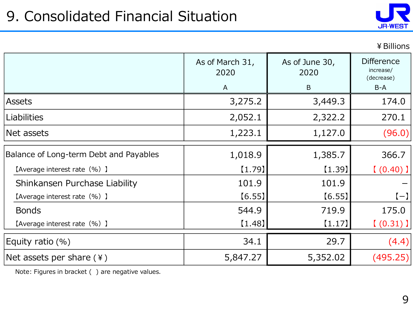

¥Billions

|                                        | As of March 31,<br>2020 | As of June 30,<br>2020 | <b>Difference</b><br>increase/<br>(decrease) |
|----------------------------------------|-------------------------|------------------------|----------------------------------------------|
|                                        | A                       | B                      | $B-A$                                        |
| <b>Assets</b>                          | 3,275.2                 | 3,449.3                | 174.0                                        |
| <b>Liabilities</b>                     | 2,052.1                 | 2,322.2                | 270.1                                        |
| Net assets                             | 1,223.1                 | 1,127.0                | (96.0)                                       |
| Balance of Long-term Debt and Payables | 1,018.9                 | 1,385.7                | 366.7                                        |
| [Average interest rate (%) ]           | $[1.79]$                | $[1.39]$               | $(0.40)$ ]                                   |
| Shinkansen Purchase Liability          | 101.9                   | 101.9                  |                                              |
| [Average interest rate (%) ]           | [6.55]                  | [6.55]                 | $(-)$                                        |
| <b>Bonds</b>                           | 544.9                   | 719.9                  | 175.0                                        |
| [Average interest rate (%) ]           | [1.48]                  | [1.17]                 | $(0.31)$ ]                                   |
| Equity ratio $(\%)$                    | 34.1                    | 29.7                   | (4.4)                                        |
| Net assets per share $(*)$             | 5,847.27                | 5,352.02               | (495.25)                                     |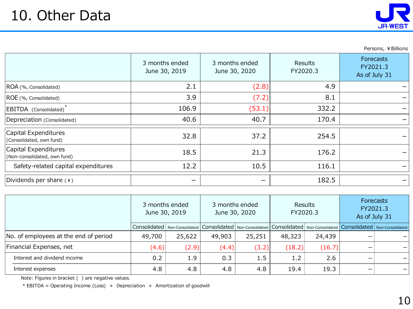

Persons, ¥Billions

|                                                      | 3 months ended<br>June 30, 2019 | 3 months ended<br>June 30, 2020 | Results<br>FY2020.3 | <b>Forecasts</b><br>FY2021.3<br>As of July 31 |
|------------------------------------------------------|---------------------------------|---------------------------------|---------------------|-----------------------------------------------|
| ROA (%, Consolidated)                                | 2.1                             | (2.8)                           | 4.9                 |                                               |
| ROE (%, Consolidated)                                | 3.9                             | (7.2)                           | 8.1                 |                                               |
| EBITDA (Consolidated)                                | 106.9                           | (53.1)                          | 332.2               |                                               |
| Depreciation (Consolidated)                          | 40.6                            | 40.7                            | 170.4               |                                               |
| Capital Expenditures<br>(Consolidated, own fund)     | 32.8                            | 37.2                            | 254.5               |                                               |
| Capital Expenditures<br>(Non-consolidated, own fund) | 18.5                            | 21.3                            | 176.2               |                                               |
| Safety-related capital expenditures                  | 12.2                            | 10.5                            | 116.1               |                                               |
| Dividends per share (¥)                              |                                 | -                               | 182.5               |                                               |

|                                       | 3 months ended<br>June 30, 2019 |        |        | 3 months ended<br>June 30, 2020 |        | Results<br>FY2020.3 |   | <b>Forecasts</b><br>FY2021.3<br>As of July 31                                                                                                                                                                                  |  |
|---------------------------------------|---------------------------------|--------|--------|---------------------------------|--------|---------------------|---|--------------------------------------------------------------------------------------------------------------------------------------------------------------------------------------------------------------------------------|--|
|                                       |                                 |        |        |                                 |        |                     |   | Consolidated   Non-Consolidated   Consolidated   Non-Consolidated   Consolidated   Non-Consolidated   Consolidated   Non-Consolidated   Non-Consolidated   Non-Consolidated   Non-Consolidated   Non-Consolidated   Non-Consol |  |
| No. of employees at the end of period | 49,700                          | 25,622 | 49,903 | 25,251                          | 48,323 | 24,439              |   |                                                                                                                                                                                                                                |  |
| Financial Expenses, net               | (4.6)                           | (2.9)  | (4.4)  | (3.2)                           | (18.2) | (16.7)              |   |                                                                                                                                                                                                                                |  |
| Interest and dividend income          | 0.2                             | 1.9    | 0.3    | 1.5                             | 1.2    | 2.6                 | - |                                                                                                                                                                                                                                |  |
| Interest expenses                     | 4.8                             | 4.8    | 4.8    | 4.8                             | 19.4   | 19.3                | - |                                                                                                                                                                                                                                |  |

Note: Figures in bracket ( ) are negative values.

\* EBITDA = Operating Income (Loss) + Depreciation + Amortization of goodwill